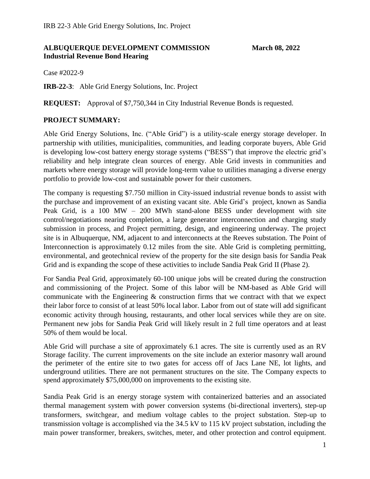### **ALBUQUERQUE DEVELOPMENT COMMISSION March 08, 2022 Industrial Revenue Bond Hearing**

Case #2022-9

**IRB-22-3**: Able Grid Energy Solutions, Inc. Project

**REQUEST:** Approval of \$7,750,344 in City Industrial Revenue Bonds is requested.

### **PROJECT SUMMARY:**

Able Grid Energy Solutions, Inc. ("Able Grid") is a utility-scale energy storage developer. In partnership with utilities, municipalities, communities, and leading corporate buyers, Able Grid is developing low-cost battery energy storage systems ("BESS") that improve the electric grid's reliability and help integrate clean sources of energy. Able Grid invests in communities and markets where energy storage will provide long-term value to utilities managing a diverse energy portfolio to provide low-cost and sustainable power for their customers.

The company is requesting \$7.750 million in City-issued industrial revenue bonds to assist with the purchase and improvement of an existing vacant site. Able Grid's project, known as Sandia Peak Grid, is a 100 MW – 200 MWh stand-alone BESS under development with site control/negotiations nearing completion, a large generator interconnection and charging study submission in process, and Project permitting, design, and engineering underway. The project site is in Albuquerque, NM, adjacent to and interconnects at the Reeves substation. The Point of Interconnection is approximately 0.12 miles from the site. Able Grid is completing permitting, environmental, and geotechnical review of the property for the site design basis for Sandia Peak Grid and is expanding the scope of these activities to include Sandia Peak Grid II (Phase 2).

For Sandia Peal Grid, approximately 60-100 unique jobs will be created during the construction and commissioning of the Project. Some of this labor will be NM-based as Able Grid will communicate with the Engineering  $\&$  construction firms that we contract with that we expect their labor force to consist of at least 50% local labor. Labor from out of state will add significant economic activity through housing, restaurants, and other local services while they are on site. Permanent new jobs for Sandia Peak Grid will likely result in 2 full time operators and at least 50% of them would be local.

Able Grid will purchase a site of approximately 6.1 acres. The site is currently used as an RV Storage facility. The current improvements on the site include an exterior masonry wall around the perimeter of the entire site to two gates for access off of Jacs Lane NE, lot lights, and underground utilities. There are not permanent structures on the site. The Company expects to spend approximately \$75,000,000 on improvements to the existing site.

Sandia Peak Grid is an energy storage system with containerized batteries and an associated thermal management system with power conversion systems (bi-directional inverters), step-up transformers, switchgear, and medium voltage cables to the project substation. Step-up to transmission voltage is accomplished via the 34.5 kV to 115 kV project substation, including the main power transformer, breakers, switches, meter, and other protection and control equipment.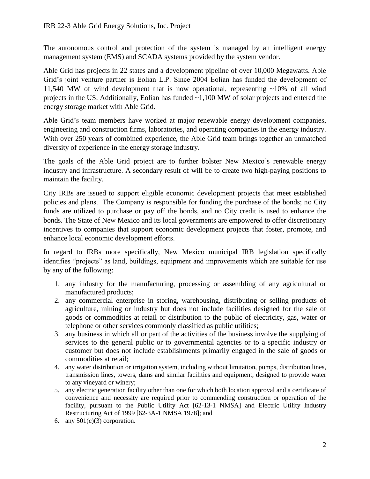The autonomous control and protection of the system is managed by an intelligent energy management system (EMS) and SCADA systems provided by the system vendor.

Able Grid has projects in 22 states and a development pipeline of over 10,000 Megawatts. Able Grid's joint venture partner is Eolian L.P. Since 2004 Eolian has funded the development of 11,540 MW of wind development that is now operational, representing ~10% of all wind projects in the US. Additionally, Eolian has funded ~1,100 MW of solar projects and entered the energy storage market with Able Grid.

Able Grid's team members have worked at major renewable energy development companies, engineering and construction firms, laboratories, and operating companies in the energy industry. With over 250 years of combined experience, the Able Grid team brings together an unmatched diversity of experience in the energy storage industry.

The goals of the Able Grid project are to further bolster New Mexico's renewable energy industry and infrastructure. A secondary result of will be to create two high-paying positions to maintain the facility.

City IRBs are issued to support eligible economic development projects that meet established policies and plans. The Company is responsible for funding the purchase of the bonds; no City funds are utilized to purchase or pay off the bonds, and no City credit is used to enhance the bonds. The State of New Mexico and its local governments are empowered to offer discretionary incentives to companies that support economic development projects that foster, promote, and enhance local economic development efforts.

In regard to IRBs more specifically, New Mexico municipal IRB legislation specifically identifies "projects" as land, buildings, equipment and improvements which are suitable for use by any of the following:

- 1. any industry for the manufacturing, processing or assembling of any agricultural or manufactured products;
- 2. any commercial enterprise in storing, warehousing, distributing or selling products of agriculture, mining or industry but does not include facilities designed for the sale of goods or commodities at retail or distribution to the public of electricity, gas, water or telephone or other services commonly classified as public utilities;
- 3. any business in which all or part of the activities of the business involve the supplying of services to the general public or to governmental agencies or to a specific industry or customer but does not include establishments primarily engaged in the sale of goods or commodities at retail;
- 4. any water distribution or irrigation system, including without limitation, pumps, distribution lines, transmission lines, towers, dams and similar facilities and equipment, designed to provide water to any vineyard or winery;
- 5. any electric generation facility other than one for which both location approval and a certificate of convenience and necessity are required prior to commending construction or operation of the facility, pursuant to the Public Utility Act [62-13-1 NMSA] and Electric Utility Industry Restructuring Act of 1999 [62-3A-1 NMSA 1978]; and
- 6. any  $501(c)(3)$  corporation.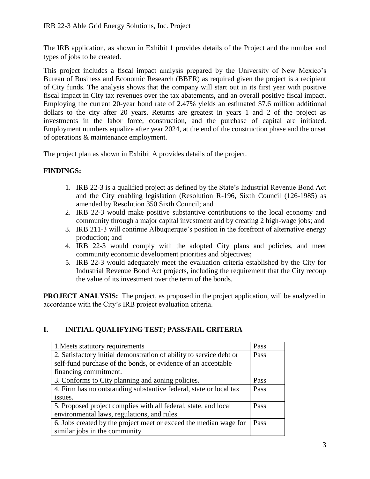The IRB application, as shown in Exhibit 1 provides details of the Project and the number and types of jobs to be created.

This project includes a fiscal impact analysis prepared by the University of New Mexico's Bureau of Business and Economic Research (BBER) as required given the project is a recipient of City funds. The analysis shows that the company will start out in its first year with positive fiscal impact in City tax revenues over the tax abatements, and an overall positive fiscal impact. Employing the current 20-year bond rate of 2.47% yields an estimated \$7.6 million additional dollars to the city after 20 years. Returns are greatest in years 1 and 2 of the project as investments in the labor force, construction, and the purchase of capital are initiated. Employment numbers equalize after year 2024, at the end of the construction phase and the onset of operations & maintenance employment.

The project plan as shown in Exhibit A provides details of the project.

### **FINDINGS:**

- 1. IRB 22-3 is a qualified project as defined by the State's Industrial Revenue Bond Act and the City enabling legislation (Resolution R-196, Sixth Council (126-1985) as amended by Resolution 350 Sixth Council; and
- 2. IRB 22-3 would make positive substantive contributions to the local economy and community through a major capital investment and by creating 2 high-wage jobs; and
- 3. IRB 211-3 will continue Albuquerque's position in the forefront of alternative energy production; and
- 4. IRB 22-3 would comply with the adopted City plans and policies, and meet community economic development priorities and objectives;
- 5. IRB 22-3 would adequately meet the evaluation criteria established by the City for Industrial Revenue Bond Act projects, including the requirement that the City recoup the value of its investment over the term of the bonds.

**PROJECT ANALYSIS:** The project, as proposed in the project application, will be analyzed in accordance with the City's IRB project evaluation criteria.

### **I. INITIAL QUALIFYING TEST; PASS/FAIL CRITERIA**

| 1. Meets statutory requirements                                     | Pass |  |  |  |  |  |  |  |
|---------------------------------------------------------------------|------|--|--|--|--|--|--|--|
| 2. Satisfactory initial demonstration of ability to service debt or |      |  |  |  |  |  |  |  |
| self-fund purchase of the bonds, or evidence of an acceptable       |      |  |  |  |  |  |  |  |
| financing commitment.                                               |      |  |  |  |  |  |  |  |
| 3. Conforms to City planning and zoning policies.                   | Pass |  |  |  |  |  |  |  |
| 4. Firm has no outstanding substantive federal, state or local tax  |      |  |  |  |  |  |  |  |
| issues.                                                             |      |  |  |  |  |  |  |  |
| 5. Proposed project complies with all federal, state, and local     |      |  |  |  |  |  |  |  |
| environmental laws, regulations, and rules.                         |      |  |  |  |  |  |  |  |
| 6. Jobs created by the project meet or exceed the median wage for   | Pass |  |  |  |  |  |  |  |
| similar jobs in the community                                       |      |  |  |  |  |  |  |  |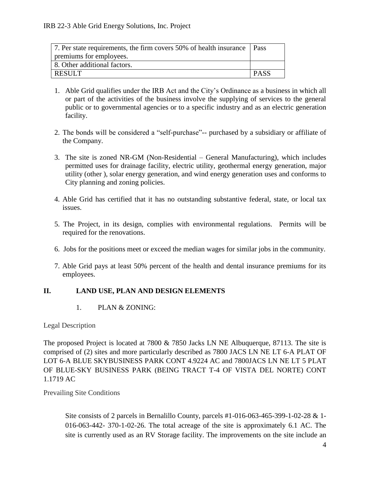| 7. Per state requirements, the firm covers 50% of health insurance   Pass |             |
|---------------------------------------------------------------------------|-------------|
| premiums for employees.                                                   |             |
| 8. Other additional factors.                                              |             |
| RESULT                                                                    | <b>PASS</b> |

- 1. Able Grid qualifies under the IRB Act and the City's Ordinance as a business in which all or part of the activities of the business involve the supplying of services to the general public or to governmental agencies or to a specific industry and as an electric generation facility.
- 2. The bonds will be considered a "self-purchase"-- purchased by a subsidiary or affiliate of the Company.
- 3. The site is zoned NR-GM (Non-Residential General Manufacturing), which includes permitted uses for drainage facility, electric utility, geothermal energy generation, major utility (other ), solar energy generation, and wind energy generation uses and conforms to City planning and zoning policies.
- 4. Able Grid has certified that it has no outstanding substantive federal, state, or local tax issues.
- 5. The Project, in its design, complies with environmental regulations. Permits will be required for the renovations.
- 6. Jobs for the positions meet or exceed the median wages for similar jobs in the community.
- 7. Able Grid pays at least 50% percent of the health and dental insurance premiums for its employees.

### **II. LAND USE, PLAN AND DESIGN ELEMENTS**

1. PLAN & ZONING:

Legal Description

The proposed Project is located at 7800 & 7850 Jacks LN NE Albuquerque, 87113. The site is comprised of (2) sites and more particularly described as 7800 JACS LN NE LT 6-A PLAT OF LOT 6-A BLUE SKYBUSINESS PARK CONT 4.9224 AC and 7800JACS LN NE LT 5 PLAT OF BLUE-SKY BUSINESS PARK (BEING TRACT T-4 OF VISTA DEL NORTE) CONT 1.1719 AC

Prevailing Site Conditions

Site consists of 2 parcels in Bernalillo County, parcels #1-016-063-465-399-1-02-28 & 1- 016-063-442- 370-1-02-26. The total acreage of the site is approximately 6.1 AC. The site is currently used as an RV Storage facility. The improvements on the site include an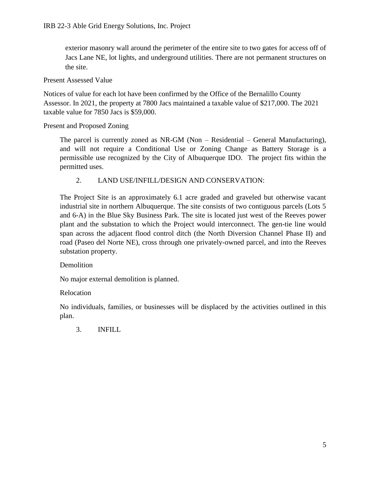exterior masonry wall around the perimeter of the entire site to two gates for access off of Jacs Lane NE, lot lights, and underground utilities. There are not permanent structures on the site.

Present Assessed Value

Notices of value for each lot have been confirmed by the Office of the Bernalillo County Assessor. In 2021, the property at 7800 Jacs maintained a taxable value of \$217,000. The 2021 taxable value for 7850 Jacs is \$59,000.

### Present and Proposed Zoning

The parcel is currently zoned as NR-GM (Non – Residential – General Manufacturing), and will not require a Conditional Use or Zoning Change as Battery Storage is a permissible use recognized by the City of Albuquerque IDO. The project fits within the permitted uses.

### 2. LAND USE/INFILL/DESIGN AND CONSERVATION:

The Project Site is an approximately 6.1 acre graded and graveled but otherwise vacant industrial site in northern Albuquerque. The site consists of two contiguous parcels (Lots 5 and 6-A) in the Blue Sky Business Park. The site is located just west of the Reeves power plant and the substation to which the Project would interconnect. The gen-tie line would span across the adjacent flood control ditch (the North Diversion Channel Phase II) and road (Paseo del Norte NE), cross through one privately-owned parcel, and into the Reeves substation property.

### Demolition

No major external demolition is planned.

### Relocation

No individuals, families, or businesses will be displaced by the activities outlined in this plan.

3. INFILL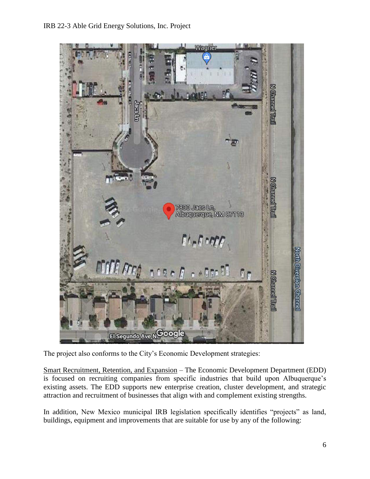

The project also conforms to the City's Economic Development strategies:

Smart Recruitment, Retention, and Expansion – The Economic Development Department (EDD) is focused on recruiting companies from specific industries that build upon Albuquerque's existing assets. The EDD supports new enterprise creation, cluster development, and strategic attraction and recruitment of businesses that align with and complement existing strengths.

In addition, New Mexico municipal IRB legislation specifically identifies "projects" as land, buildings, equipment and improvements that are suitable for use by any of the following: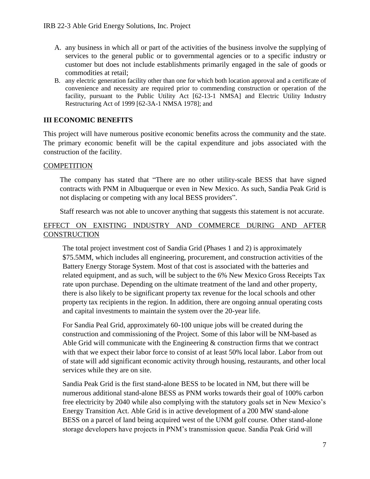- A. any business in which all or part of the activities of the business involve the supplying of services to the general public or to governmental agencies or to a specific industry or customer but does not include establishments primarily engaged in the sale of goods or commodities at retail;
- B. any electric generation facility other than one for which both location approval and a certificate of convenience and necessity are required prior to commending construction or operation of the facility, pursuant to the Public Utility Act [62-13-1 NMSA] and Electric Utility Industry Restructuring Act of 1999 [62-3A-1 NMSA 1978]; and

### **III ECONOMIC BENEFITS**

This project will have numerous positive economic benefits across the community and the state. The primary economic benefit will be the capital expenditure and jobs associated with the construction of the facility.

### **COMPETITION**

The company has stated that "There are no other utility-scale BESS that have signed contracts with PNM in Albuquerque or even in New Mexico. As such, Sandia Peak Grid is not displacing or competing with any local BESS providers".

Staff research was not able to uncover anything that suggests this statement is not accurate.

### EFFECT ON EXISTING INDUSTRY AND COMMERCE DURING AND AFTER **CONSTRUCTION**

The total project investment cost of Sandia Grid (Phases 1 and 2) is approximately \$75.5MM, which includes all engineering, procurement, and construction activities of the Battery Energy Storage System. Most of that cost is associated with the batteries and related equipment, and as such, will be subject to the 6% New Mexico Gross Receipts Tax rate upon purchase. Depending on the ultimate treatment of the land and other property, there is also likely to be significant property tax revenue for the local schools and other property tax recipients in the region. In addition, there are ongoing annual operating costs and capital investments to maintain the system over the 20-year life.

For Sandia Peal Grid, approximately 60-100 unique jobs will be created during the construction and commissioning of the Project. Some of this labor will be NM-based as Able Grid will communicate with the Engineering  $\&$  construction firms that we contract with that we expect their labor force to consist of at least 50% local labor. Labor from out of state will add significant economic activity through housing, restaurants, and other local services while they are on site.

Sandia Peak Grid is the first stand-alone BESS to be located in NM, but there will be numerous additional stand-alone BESS as PNM works towards their goal of 100% carbon free electricity by 2040 while also complying with the statutory goals set in New Mexico's Energy Transition Act. Able Grid is in active development of a 200 MW stand-alone BESS on a parcel of land being acquired west of the UNM golf course. Other stand-alone storage developers have projects in PNM's transmission queue. Sandia Peak Grid will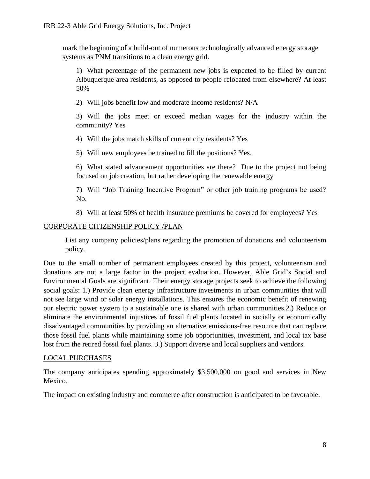mark the beginning of a build-out of numerous technologically advanced energy storage systems as PNM transitions to a clean energy grid.

1) What percentage of the permanent new jobs is expected to be filled by current Albuquerque area residents, as opposed to people relocated from elsewhere? At least 50%

2) Will jobs benefit low and moderate income residents? N/A

3) Will the jobs meet or exceed median wages for the industry within the community? Yes

4) Will the jobs match skills of current city residents? Yes

5) Will new employees be trained to fill the positions? Yes.

6) What stated advancement opportunities are there? Due to the project not being focused on job creation, but rather developing the renewable energy

7) Will "Job Training Incentive Program" or other job training programs be used? No.

8) Will at least 50% of health insurance premiums be covered for employees? Yes

### CORPORATE CITIZENSHIP POLICY /PLAN

List any company policies/plans regarding the promotion of donations and volunteerism policy.

Due to the small number of permanent employees created by this project, volunteerism and donations are not a large factor in the project evaluation. However, Able Grid's Social and Environmental Goals are significant. Their energy storage projects seek to achieve the following social goals: 1.) Provide clean energy infrastructure investments in urban communities that will not see large wind or solar energy installations. This ensures the economic benefit of renewing our electric power system to a sustainable one is shared with urban communities.2.) Reduce or eliminate the environmental injustices of fossil fuel plants located in socially or economically disadvantaged communities by providing an alternative emissions-free resource that can replace those fossil fuel plants while maintaining some job opportunities, investment, and local tax base lost from the retired fossil fuel plants. 3.) Support diverse and local suppliers and vendors.

### LOCAL PURCHASES

The company anticipates spending approximately \$3,500,000 on good and services in New Mexico.

The impact on existing industry and commerce after construction is anticipated to be favorable.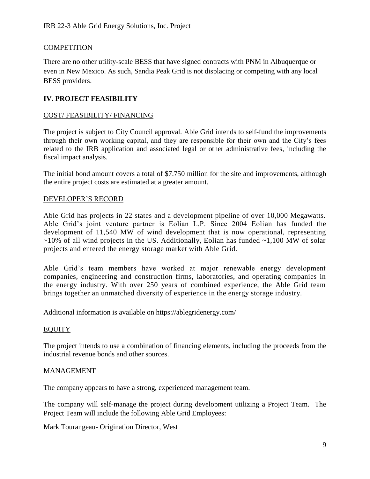### **COMPETITION**

There are no other utility-scale BESS that have signed contracts with PNM in Albuquerque or even in New Mexico. As such, Sandia Peak Grid is not displacing or competing with any local BESS providers.

### **IV. PROJECT FEASIBILITY**

### COST/ FEASIBILITY/ FINANCING

The project is subject to City Council approval. Able Grid intends to self-fund the improvements through their own working capital, and they are responsible for their own and the City's fees related to the IRB application and associated legal or other administrative fees, including the fiscal impact analysis.

The initial bond amount covers a total of \$7.750 million for the site and improvements, although the entire project costs are estimated at a greater amount.

### DEVELOPER'S RECORD

Able Grid has projects in 22 states and a development pipeline of over 10,000 Megawatts. Able Grid's joint venture partner is Eolian L.P. Since 2004 Eolian has funded the development of 11,540 MW of wind development that is now operational, representing  $\sim$ 10% of all wind projects in the US. Additionally, Eolian has funded  $\sim$ 1,100 MW of solar projects and entered the energy storage market with Able Grid.

Able Grid's team members have worked at major renewable energy development companies, engineering and construction firms, laboratories, and operating companies in the energy industry. With over 250 years of combined experience, the Able Grid team brings together an unmatched diversity of experience in the energy storage industry.

Additional information is available on https://ablegridenergy.com/

### EQUITY

The project intends to use a combination of financing elements, including the proceeds from the industrial revenue bonds and other sources.

### MANAGEMENT

The company appears to have a strong, experienced management team.

The company will self-manage the project during development utilizing a Project Team. The Project Team will include the following Able Grid Employees:

Mark Tourangeau- Origination Director, West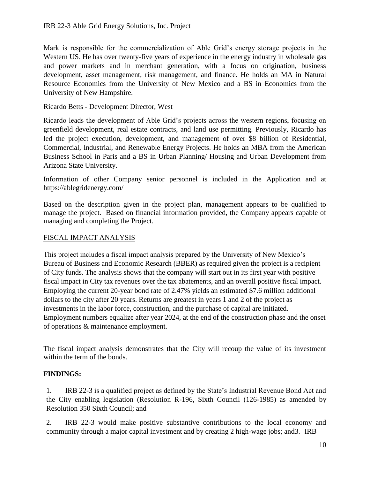Mark is responsible for the commercialization of Able Grid's energy storage projects in the Western US. He has over twenty-five years of experience in the energy industry in wholesale gas and power markets and in merchant generation, with a focus on origination, business development, asset management, risk management, and finance. He holds an MA in Natural Resource Economics from the University of New Mexico and a BS in Economics from the University of New Hampshire.

Ricardo Betts - Development Director, West

Ricardo leads the development of Able Grid's projects across the western regions, focusing on greenfield development, real estate contracts, and land use permitting. Previously, Ricardo has led the project execution, development, and management of over \$8 billion of Residential, Commercial, Industrial, and Renewable Energy Projects. He holds an MBA from the American Business School in Paris and a BS in Urban Planning/ Housing and Urban Development from Arizona State University.

Information of other Company senior personnel is included in the Application and at https://ablegridenergy.com/

Based on the description given in the project plan, management appears to be qualified to manage the project. Based on financial information provided, the Company appears capable of managing and completing the Project.

### FISCAL IMPACT ANALYSIS

This project includes a fiscal impact analysis prepared by the University of New Mexico's Bureau of Business and Economic Research (BBER) as required given the project is a recipient of City funds. The analysis shows that the company will start out in its first year with positive fiscal impact in City tax revenues over the tax abatements, and an overall positive fiscal impact. Employing the current 20-year bond rate of 2.47% yields an estimated \$7.6 million additional dollars to the city after 20 years. Returns are greatest in years 1 and 2 of the project as investments in the labor force, construction, and the purchase of capital are initiated. Employment numbers equalize after year 2024, at the end of the construction phase and the onset of operations & maintenance employment.

The fiscal impact analysis demonstrates that the City will recoup the value of its investment within the term of the bonds.

### **FINDINGS:**

1. IRB 22-3 is a qualified project as defined by the State's Industrial Revenue Bond Act and the City enabling legislation (Resolution R-196, Sixth Council (126-1985) as amended by Resolution 350 Sixth Council; and

2. IRB 22-3 would make positive substantive contributions to the local economy and community through a major capital investment and by creating 2 high-wage jobs; and3. IRB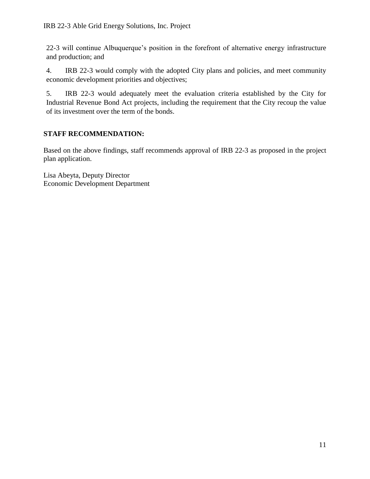22-3 will continue Albuquerque's position in the forefront of alternative energy infrastructure and production; and

4. IRB 22-3 would comply with the adopted City plans and policies, and meet community economic development priorities and objectives;

5. IRB 22-3 would adequately meet the evaluation criteria established by the City for Industrial Revenue Bond Act projects, including the requirement that the City recoup the value of its investment over the term of the bonds.

### **STAFF RECOMMENDATION:**

Based on the above findings, staff recommends approval of IRB 22-3 as proposed in the project plan application.

Lisa Abeyta, Deputy Director Economic Development Department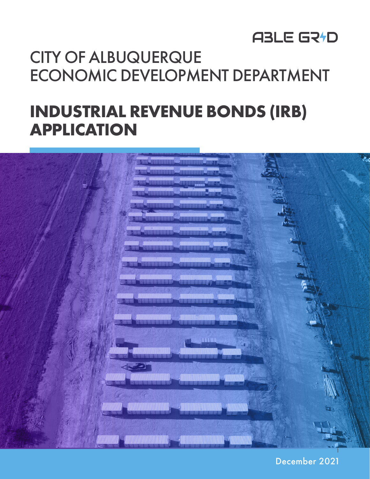# CITY OF ALBUQUERQUE ECONOMIC DEVELOPMENT DEPARTMENT

# **INDUSTRIAL REVENUE BONDS (IRB) APPLICATION**



December 2021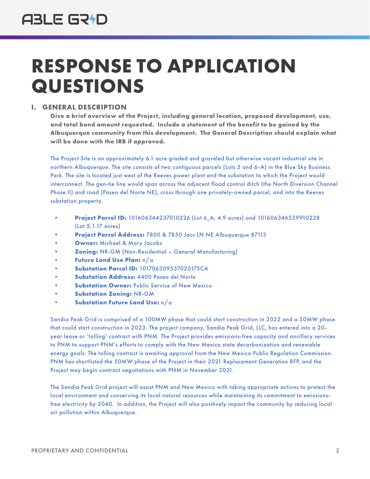# **RESPONSE TO APPLICATION QUESTIONS**

### **I. GENERAL DESCRIPTION**

**Give a brief overview of the Project, including general location, proposed development, use, and total bond amount requested. Include a statement of the benefit to be gained by the Albuquerque community from this development. The General Description should explain what will be done with the IRB if approved.**

The Project Site is an approximately 6.1 acre graded and graveled but otherwise vacant industrial site in northern Albuquerque. The site consists of two contiguous parcels (Lots 5 and 6-A) in the Blue Sky Business Park. The site is located just west of the Reeves power plant and the substation to which the Project would interconnect. The gen-tie line would span across the adjacent flood control ditch (the North Diversion Channel Phase II) and road (Paseo del Norte NE), cross through one privately-owned parcel, and into the Reeves substation property.

- **Project Parcel ID:** 101606344237010226 (Lot 6\_A; 4.9 acres) and 101606346539910228 (Lot 5;1.17 acres)
- **Project Parcel Address:** 7800 & 7850 Jacs LN NE Albuquerque 87113
- **Owner:** Michael & Mary Jacobs
- **Zoning:** NR-GM (Non-Residential General Manufacturing)
- **Future Land Use Plan:** n/a
- **Substation Parcel ID:** 101706309537020175CA
- **Substation Address:** 4400 Paseo del Norte
- **Substation Owner: Public Service of New Mexico**
- **Substation Zoning:** NR-GM
- **Substation Future Land Use:** n/a

Sandia Peak Grid is comprised of a 100MW phase that could start construction in 2022 and a 50MW phase that could start construction in 2023. The project company, Sandia Peak Grid, LLC, has entered into a 20 year lease or 'tolling' contract with PNM. The Project provides emissions-free capacity and ancillary services to PNM to support PNM's efforts to comply with the New Mexico state decarbonization and renewable energy goals. The tolling contract is awaiting approval from the New Mexico Public Regulation Commission. PNM has shortlisted the 50MW phase of the Project in their 2021 Replacement Generation RFP, and the Project may begin contract negotiations with PNM in November 2021.

The Sandia Peak Grid project will assist PNM and New Mexico with taking appropriate actions to protect the local environment and conserving its local natural resources while maintaining its commitment to emissionsfree electricity by 2040. In addition, the Project will also positively impact the community by reducing local air pollution within Albuquerque.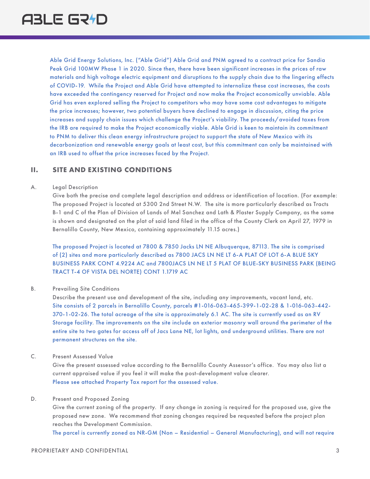Able Grid Energy Solutions, Inc. ("Able Grid") Able Grid and PNM agreed to a contract price for Sandia Peak Grid 100MW Phase 1 in 2020. Since then, there have been significant increases in the prices of raw materials and high voltage electric equipment and disruptions to the supply chain due to the lingering effects of COVID-19. While the Project and Able Grid have attempted to internalize these cost increases, the costs have exceeded the contingency reserved for Project and now make the Project economically unviable. Able Grid has even explored selling the Project to competitors who may have some cost advantages to mitigate the price increases; however, two potential buyers have declined to engage in discussion, citing the price increases and supply chain issues which challenge the Project's viability. The proceeds/avoided taxes from the IRB are required to make the Project economically viable. Able Grid is keen to maintain its commitment to PNM to deliver this clean energy infrastructure project to support the state of New Mexico with its decarbonization and renewable energy goals at least cost, but this commitment can only be maintained with an IRB used to offset the price increases faced by the Project.

### **II. SITE AND EXISTING CONDITIONS**

### A. Legal Description

Give both the precise and complete legal description and address or identification of location. (For example: The proposed Project is located at 5300 2nd Street N.W. The site is more particularly described as Tracts B-1 and C of the Plan of Division of Lands of Mel Sanchez and Lath & Plaster Supply Company, as the same is shown and designated on the plat of said land filed in the office of the County Clerk on April 27, 1979 in Bernalillo County, New Mexico, containing approximately 11.15 acres.)

The proposed Project is located at 7800 & 7850 Jacks LN NE Albuquerque, 87113. The site is comprised of (2) sites and more particularly described as 7800 JACS LN NE LT 6-A PLAT OF LOT 6-A BLUE SKY BUSINESS PARK CONT 4.9224 AC and 7800JACS LN NE LT 5 PLAT OF BLUE-SKY BUSINESS PARK (BEING TRACT T-4 OF VISTA DEL NORTE) CONT 1.1719 AC

### B. Prevailing Site Conditions

Describe the present use and development of the site, including any improvements, vacant land, etc. Site consists of 2 parcels in Bernalillo County, parcels #1-016-063-465-399-1-02-28 & 1-016-063-442- 370-1-02-26. The total acreage of the site is approximately 6.1 AC. The site is currently used as an RV Storage facility. The improvements on the site include an exterior masonry wall around the perimeter of the entire site to two gates for access off of Jacs Lane NE, lot lights, and underground utilities. There are not permanent structures on the site.

### C. Present Assessed Value

Give the present assessed value according to the Bernalillo County Assessor's office. You may also list a current appraised value if you feel it will make the post-development value clearer. Please see attached Property Tax report for the assessed value.

### D. Present and Proposed Zoning

Give the current zoning of the property. If any change in zoning is required for the proposed use, give the proposed new zone. We recommend that zoning changes required be requested before the project plan reaches the Development Commission.

The parcel is currently zoned as NR-GM (Non – Residential – General Manufacturing), and will not require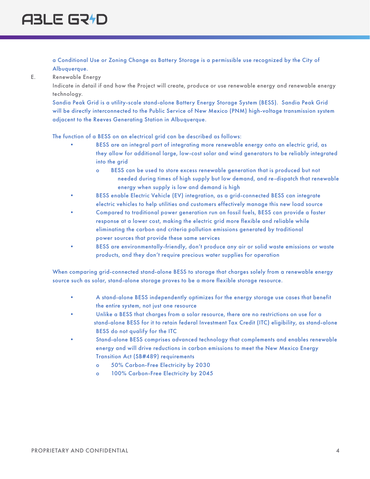a Conditional Use or Zoning Change as Battery Storage is a permissible use recognized by the City of Albuquerque.

E. Renewable Energy

Indicate in detail if and how the Project will create, produce or use renewable energy and renewable energy technology.

Sandia Peak Grid is a utility-scale stand-alone Battery Energy Storage System (BESS). Sandia Peak Grid will be directly interconnected to the Public Service of New Mexico (PNM) high-voltage transmission system adjacent to the Reeves Generating Station in Albuquerque.

The function of a BESS on an electrical grid can be described as follows:

- BESS are an integral part of integrating more renewable energy onto an electric grid, as they allow for additional large, low-cost solar and wind generators to be reliably integrated into the grid
	- o BESS can be used to store excess renewable generation that is produced but not needed during times of high supply but low demand, and re-dispatch that renewable energy when supply is low and demand is high
- BESS enable Electric Vehicle (EV) integration, as a grid-connected BESS can integrate electric vehicles to help utilities and customers effectively manage this new load source
- Compared to traditional power generation run on fossil fuels, BESS can provide a faster response at a lower cost, making the electric grid more flexible and reliable while eliminating the carbon and criteria pollution emissions generated by traditional power sources that provide these same services
- BESS are environmentally-friendly, don't produce any air or solid waste emissions or waste products, and they don't require precious water supplies for operation

When comparing grid-connected stand-alone BESS to storage that charges solely from a renewable energy source such as solar, stand-alone storage proves to be a more flexible storage resource.

- A stand-alone BESS independently optimizes for the energy storage use cases that benefit the entire system, not just one resource
- Unlike a BESS that charges from a solar resource, there are no restrictions on use for a stand-alone BESS for it to retain federal Investment Tax Credit (ITC) eligibility, as stand-alone BESS do not qualify for the ITC
- Stand-alone BESS comprises advanced technology that complements and enables renewable energy and will drive reductions in carbon emissions to meet the New Mexico Energy Transition Act (SB#489) requirements
	- o 50% Carbon-Free Electricity by 2030
	- o 100% Carbon-Free Electricity by 2045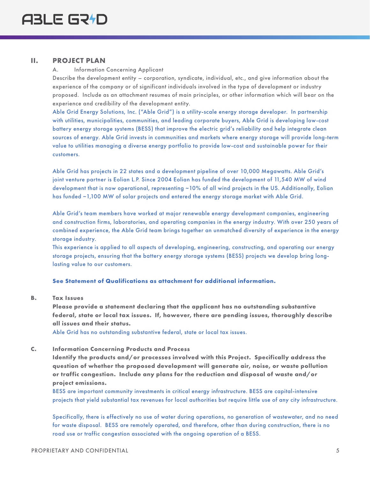### **II. PROJECT PLAN**

### A. Information Concerning Applicant

Describe the development entity – corporation, syndicate, individual, etc., and give information about the experience of the company or of significant individuals involved in the type of development or industry proposed. Include as an attachment resumes of main principles, or other information which will bear on the experience and credibility of the development entity.

Able Grid Energy Solutions, Inc. ("Able Grid") is a utility-scale energy storage developer. In partnership with utilities, municipalities, communities, and leading corporate buyers, Able Grid is developing low-cost battery energy storage systems (BESS) that improve the electric grid's reliability and help integrate clean sources of energy. Able Grid invests in communities and markets where energy storage will provide long-term value to utilities managing a diverse energy portfolio to provide low-cost and sustainable power for their customers.

Able Grid has projects in 22 states and a development pipeline of over 10,000 Megawatts. Able Grid's joint venture partner is Eolian L.P. Since 2004 Eolian has funded the development of 11,540 MW of wind development that is now operational, representing ~10% of all wind projects in the US. Additionally, Eolian has funded ~1,100 MW of solar projects and entered the energy storage market with Able Grid.

Able Grid's team members have worked at major renewable energy development companies, engineering and construction firms, laboratories, and operating companies in the energy industry. With over 250 years of combined experience, the Able Grid team brings together an unmatched diversity of experience in the energy storage industry.

This experience is applied to all aspects of developing, engineering, constructing, and operating our energy storage projects, ensuring that the battery energy storage systems (BESS) projects we develop bring longlasting value to our customers.

### **See Statement of Qualifications as attachment for additional information.**

**B. Tax Issues**

**Please provide a statement declaring that the applicant has no outstanding substantive federal, state or local tax issues. If, however, there are pending issues, thoroughly describe all issues and their status.** 

Able Grid has no outstanding substantive federal, state or local tax issues.

### **C. Information Concerning Products and Process**

**Identify the products and/or processes involved with this Project. Specifically address the question of whether the proposed development will generate air, noise, or waste pollution or traffic congestion. Include any plans for the reduction and disposal of waste and/or project emissions.**

BESS are important community investments in critical energy infrastructure. BESS are capital-intensive projects that yield substantial tax revenues for local authorities but require little use of any city infrastructure.

Specifically, there is effectively no use of water during operations, no generation of wastewater, and no need for waste disposal. BESS are remotely operated, and therefore, other than during construction, there is no road use or traffic congestion associated with the ongoing operation of a BESS.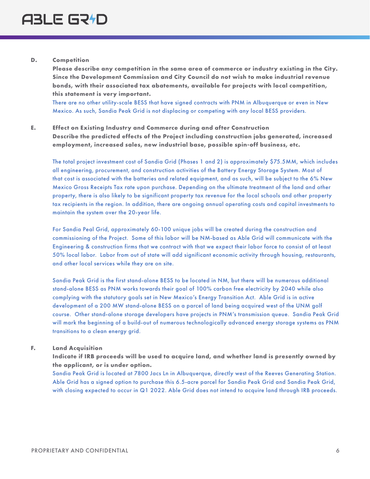### **D. Competition**

**Please describe any competition in the same area of commerce or industry existing in the City. Since the Development Commission and City Council do not wish to make industrial revenue bonds, with their associated tax abatements, available for projects with local competition, this statement is very important.** 

There are no other utility-scale BESS that have signed contracts with PNM in Albuquerque or even in New Mexico. As such, Sandia Peak Grid is not displacing or competing with any local BESS providers.

### **E. Effect on Existing Industry and Commerce during and after Construction Describe the predicted effects of the Project including construction jobs generated, increased employment, increased sales, new industrial base, possible spin-off business, etc.**

The total project investment cost of Sandia Grid (Phases 1 and 2) is approximately \$75.5MM, which includes all engineering, procurement, and construction activities of the Battery Energy Storage System. Most of that cost is associated with the batteries and related equipment, and as such, will be subject to the 6% New Mexico Gross Receipts Tax rate upon purchase. Depending on the ultimate treatment of the land and other property, there is also likely to be significant property tax revenue for the local schools and other property tax recipients in the region. In addition, there are ongoing annual operating costs and capital investments to maintain the system over the 20-year life.

For Sandia Peal Grid, approximately 60-100 unique jobs will be created during the construction and commissioning of the Project. Some of this labor will be NM-based as Able Grid will communicate with the Engineering & construction firms that we contract with that we expect their labor force to consist of at least 50% local labor. Labor from out of state will add significant economic activity through housing, restaurants, and other local services while they are on site.

Sandia Peak Grid is the first stand-alone BESS to be located in NM, but there will be numerous additional stand-alone BESS as PNM works towards their goal of 100% carbon free electricity by 2040 while also complying with the statutory goals set in New Mexico's Energy Transition Act. Able Grid is in active development of a 200 MW stand-alone BESS on a parcel of land being acquired west of the UNM golf course. Other stand-alone storage developers have projects in PNM's transmission queue. Sandia Peak Grid will mark the beginning of a build-out of numerous technologically advanced energy storage systems as PNM transitions to a clean energy grid.

### **F. Land Acquisition**

**Indicate if IRB proceeds will be used to acquire land, and whether land is presently owned by the applicant, or is under option.** 

Sandia Peak Grid is located at 7800 Jacs Ln in Albuquerque, directly west of the Reeves Generating Station. Able Grid has a signed option to purchase this 6.5-acre parcel for Sandia Peak Grid and Sandia Peak Grid, with closing expected to occur in Q1 2022. Able Grid does not intend to acquire land through IRB proceeds.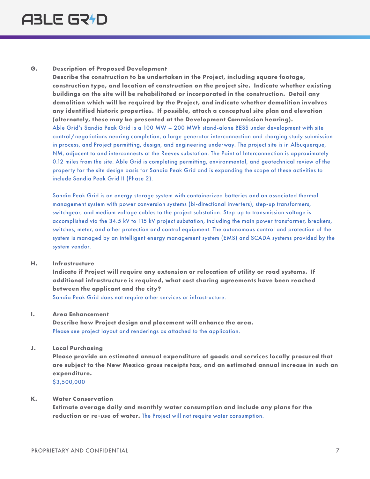### **G. Description of Proposed Development**

**Describe the construction to be undertaken in the Project, including square footage, construction type, and location of construction on the project site. Indicate whether existing buildings on the site will be rehabilitated or incorporated in the construction. Detail any demolition which will be required by the Project, and indicate whether demolition involves any identified historic properties. If possible, attach a conceptual site plan and elevation (alternately, these may be presented at the Development Commission hearing).**  Able Grid's Sandia Peak Grid is a 100 MW – 200 MWh stand-alone BESS under development with site control/negotiations nearing completion, a large generator interconnection and charging study submission in process, and Project permitting, design, and engineering underway. The project site is in Albuquerque, NM, adjacent to and interconnects at the Reeves substation. The Point of Interconnection is approximately 0.12 miles from the site. Able Grid is completing permitting, environmental, and geotechnical review of the property for the site design basis for Sandia Peak Grid and is expanding the scope of these activities to include Sandia Peak Grid II (Phase 2).

Sandia Peak Grid is an energy storage system with containerized batteries and an associated thermal management system with power conversion systems (bi-directional inverters), step-up transformers, switchgear, and medium voltage cables to the project substation. Step-up to transmission voltage is accomplished via the 34.5 kV to 115 kV project substation, including the main power transformer, breakers, switches, meter, and other protection and control equipment. The autonomous control and protection of the system is managed by an intelligent energy management system (EMS) and SCADA systems provided by the system vendor.

### **H. Infrastructure**

**Indicate if Project will require any extension or relocation of utility or road systems. If additional infrastructure is required, what cost sharing agreements have been reached between the applicant and the city?** 

Sandia Peak Grid does not require other services or infrastructure.

### **I. Area Enhancement**

**Describe how Project design and placement will enhance the area.**  Please see project layout and renderings as attached to the application.

### **J. Local Purchasing**

**Please provide an estimated annual expenditure of goods and services locally procured that are subject to the New Mexico gross receipts tax, and an estimated annual increase in such an expenditure.**

\$3,500,000

### **K. Water Conservation**

**Estimate average daily and monthly water consumption and include any plans for the reduction or re-use of water.** The Project will not require water consumption.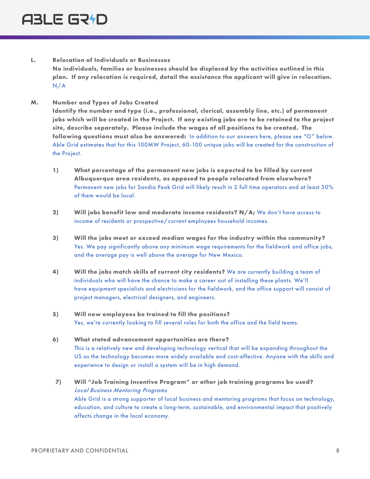- **L. Relocation of Individuals or Businesses No individuals, families or businesses should be displaced by the activities outlined in this plan. If any relocation is required, detail the assistance the applicant will give in relocation.**  N/A
- **M. Number and Types of Jobs Created**

**Identify the number and type (i.e., professional, clerical, assembly line, etc.) of permanent jobs which will be created in the Project. If any existing jobs are to be retained to the project site, describe separately. Please include the wages of all positions to be created. The following questions must also be answered:** In addition to our answers here, please see "O" below. Able Grid estimates that for this 100MW Project, 60-100 unique jobs will be created for the construction of the Project.

- **1) What percentage of the permanent new jobs is expected to be filled by current Albuquerque area residents, as opposed to people relocated from elsewhere?**  Permanent new jobs for Sandia Peak Grid will likely result in 2 full time operators and at least 50% of them would be local.
- **2) Will jobs benefit low and moderate income residents? N/A;** We don't have access to income of residents or prospective/current employees household incomes.
- **3) Will the jobs meet or exceed median wages for the industry within the community?**  Yes. We pay significantly above any minimum wage requirements for the fieldwork and office jobs, and the average pay is well above the average for New Mexico.
- **4) Will the jobs match skills of current city residents?** We are currently building a team of individuals who will have the chance to make a career out of installing these plants. We'll have equipment specialists and electricians for the fieldwork, and the office support will consist of project managers, electrical designers, and engineers.
- **5) Will new employees be trained to fill the positions?**  Yes, we're currently looking to fill several roles for both the office and the field teams.
- **6) What stated advancement opportunities are there?**  This is a relatively new and developing technology vertical that will be expanding throughout the US as the technology becomes more widely available and cost-effective. Anyone with the skills and experience to design or install a system will be in high demand.
- **7) Will "Job Training Incentive Program" or other job training programs be used?** Local Business Mentoring Programs Able Grid is a strong supporter of local business and mentoring programs that focus on technology, education, and culture to create a long-term, sustainable, and environmental impact that positively affects change in the local economy.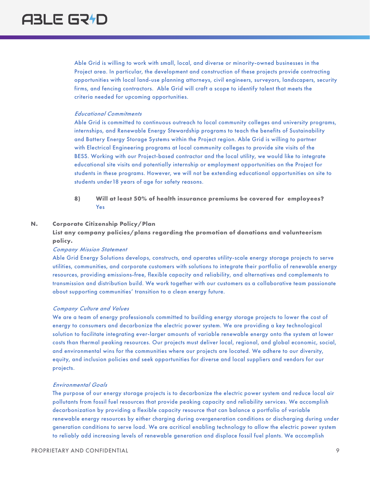Able Grid is willing to work with small, local, and diverse or minority-owned businesses in the Project area. In particular, the development and construction of these projects provide contracting opportunities with local land-use planning attorneys, civil engineers, surveyors, landscapers, security firms, and fencing contractors. Able Grid will craft a scope to identify talent that meets the criteria needed for upcoming opportunities.

### Educational Commitments

Able Grid is committed to continuous outreach to local community colleges and university programs, internships, and Renewable Energy Stewardship programs to teach the benefits of Sustainability and Battery Energy Storage Systems within the Project region. Able Grid is willing to partner with Electrical Engineering programs at local community colleges to provide site visits of the BESS. Working with our Project-based contractor and the local utility, we would like to integrate educational site visits and potentially internship or employment opportunities on the Project for students in these programs. However, we will not be extending educational opportunities on site to students under18 years of age for safety reasons.

**8) Will at least 50% of health insurance premiums be covered for employees?** Yes

### **N. Corporate Citizenship Policy/Plan**

**List any company policies/plans regarding the promotion of donations and volunteerism policy.**

### Company Mission Statement

Able Grid Energy Solutions develops, constructs, and operates utility-scale energy storage projects to serve utilities, communities, and corporate customers with solutions to integrate their portfolio of renewable energy resources, providing emissions-free, flexible capacity and reliability, and alternatives and complements to transmission and distribution build. We work together with our customers as a collaborative team passionate about supporting communities' transition to a clean energy future.

#### Company Culture and Values

We are a team of energy professionals committed to building energy storage projects to lower the cost of energy to consumers and decarbonize the electric power system. We are providing a key technological solution to facilitate integrating ever-larger amounts of variable renewable energy onto the system at lower costs than thermal peaking resources. Our projects must deliver local, regional, and global economic, social, and environmental wins for the communities where our projects are located. We adhere to our diversity, equity, and inclusion policies and seek opportunities for diverse and local suppliers and vendors for our projects.

#### Environmental Goals

The purpose of our energy storage projects is to decarbonize the electric power system and reduce local air pollutants from fossil fuel resources that provide peaking capacity and reliability services. We accomplish decarbonization by providing a flexible capacity resource that can balance a portfolio of variable renewable energy resources by either charging during overgeneration conditions or discharging during under generation conditions to serve load. We are acritical enabling technology to allow the electric power system to reliably add increasing levels of renewable generation and displace fossil fuel plants. We accomplish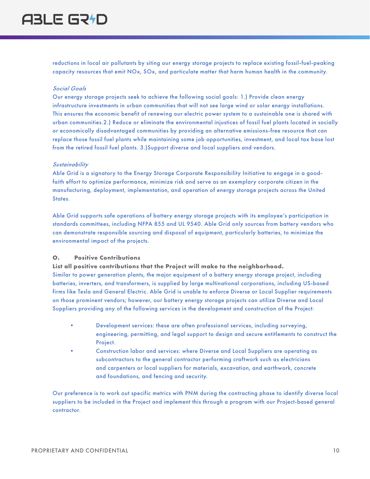reductions in local air pollutants by siting our energy storage projects to replace existing fossil-fuel-peaking capacity resources that emit NOx, SOx, and particulate matter that harm human health in the community.

### Social Goals

Our energy storage projects seek to achieve the following social goals: 1.) Provide clean energy infrastructure investments in urban communities that will not see large wind or solar energy installations. This ensures the economic benefit of renewing our electric power system to a sustainable one is shared with urban communities.2.) Reduce or eliminate the environmental injustices of fossil fuel plants located in socially or economically disadvantaged communities by providing an alternative emissions-free resource that can replace those fossil fuel plants while maintaining some job opportunities, investment, and local tax base lost from the retired fossil fuel plants. 3.)Support diverse and local suppliers and vendors.

### **Sustainability**

Able Grid is a signatory to the Energy Storage Corporate Responsibility Initiative to engage in a goodfaith effort to optimize performance, minimize risk and serve as an exemplary corporate citizen in the manufacturing, deployment, implementation, and operation of energy storage projects across the United States.

Able Grid supports safe operations of battery energy storage projects with its employee's participation in standards committees, including NFPA 855 and UL 9540. Able Grid only sources from battery vendors who can demonstrate responsible sourcing and disposal of equipment, particularly batteries, to minimize the environmental impact of the projects.

### **O. Positive Contributions**

**List all positive contributions that the Project will make to the neighborhood.** Similar to power generation plants, the major equipment of a battery energy storage project, including batteries, inverters, and transformers, is supplied by large multinational corporations, including US-based firms like Tesla and General Electric. Able Grid is unable to enforce Diverse or Local Supplier requirements on those prominent vendors; however, our battery energy storage projects can utilize Diverse and Local Suppliers providing any of the following services in the development and construction of the Project:

- Development services: these are often professional services, including surveying, engineering, permitting, and legal support to design and secure entitlements to construct the Project.
- Construction labor and services: where Diverse and Local Suppliers are operating as subcontractors to the general contractor performing craftwork such as electricians and carpenters or local suppliers for materials, excavation, and earthwork, concrete and foundations, and fencing and security.

Our preference is to work out specific metrics with PNM during the contracting phase to identify diverse local suppliers to be included in the Project and implement this through a program with our Project-based general contractor.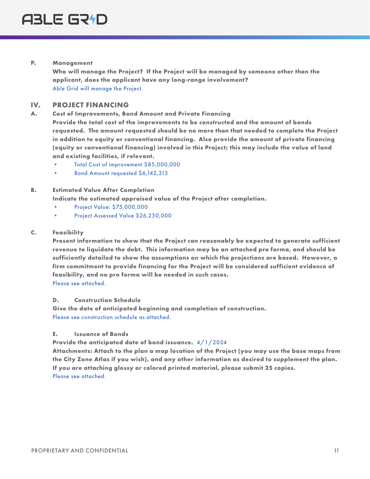### **P. Management**

**Who will manage the Project? If the Project will be managed by someone other than the applicant, does the applicant have any long-range involvement?** Able Grid will manage the Project.

### **IV. PROJECT FINANCING**

**A. Cost of Improvements, Bond Amount and Private Financing Provide the total cost of the improvements to be constructed and the amount of bonds requested. The amount requested should be no more than that needed to complete the Project in addition to equity or conventional financing. Also provide the amount of private financing (equity or conventional financing) involved in this Project; this may include the value of land and existing facilities, if relevant.**

- Total Cost of improvement \$85,000,000
- Bond Amount requested \$6,142,313

### **B. Estimated Value After Completion**

**Indicate the estimated appraised value of the Project after completion.**

- Project Value: \$75,000,000
- Project Assessed Value \$26,250,000

### **C. Feasibility**

**Present information to show that the Project can reasonably be expected to generate sufficient revenue to liquidate the debt. This information may be an attached pro forma, and should be sufficiently detailed to show the assumptions on which the projections are based. However, a firm commitment to provide financing for the Project will be considered sufficient evidence of feasibility, and no pro forma will be needed in such cases.** Please see attached.

### **D. Construction Schedule**

**Give the date of anticipated beginning and completion of construction.** Please see construction schedule as attached.

### **E. Issuance of Bonds**

**Provide the anticipated date of bond issuance.** 4/1/2024

**Attachments: Attach to the plan a map location of the Project (you may use the base maps from the City Zone Atlas if you wish), and any other information as desired to supplement the plan. If you are attaching glossy or colored printed material, please submit 25 copies.** Please see attached.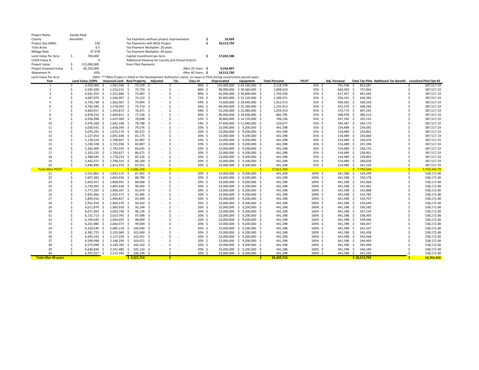| Project Name                |                                                               | Sandia Peak      |                                  |                                      |              |                                           |      |        |                   |                          |                    |                                                                                                                           |                                                       |                       |              |               |                    |                                                               |    |              |
|-----------------------------|---------------------------------------------------------------|------------------|----------------------------------|--------------------------------------|--------------|-------------------------------------------|------|--------|-------------------|--------------------------|--------------------|---------------------------------------------------------------------------------------------------------------------------|-------------------------------------------------------|-----------------------|--------------|---------------|--------------------|---------------------------------------------------------------|----|--------------|
| County                      | Bernalillo                                                    |                  |                                  |                                      |              | Tax Payments without project improvements |      |        |                   |                          | Ŝ                  | 10,429                                                                                                                    |                                                       |                       |              |               |                    |                                                               |    |              |
| Project Size (MW)           |                                                               | 150              | Tax Payments with BESS Project   |                                      |              |                                           |      |        |                   | \$.                      | 18,513,793         |                                                                                                                           |                                                       |                       |              |               |                    |                                                               |    |              |
| <b>Total Acres</b>          |                                                               | 6.5              | Tax Payment Multiplier: 20 years |                                      |              |                                           |      |        |                   |                          |                    |                                                                                                                           |                                                       |                       |              |               |                    |                                                               |    |              |
| Millage Rate                |                                                               | 47.978           |                                  | Tax Payment Multiplier: 40 years     |              |                                           |      |        |                   |                          |                    |                                                                                                                           |                                                       |                       |              |               |                    |                                                               |    |              |
| Land Value Per Acre         | .\$                                                           | 700,000          |                                  |                                      |              | Capital Investment per Acre               |      |        |                   |                          | \$                 | 17,692,308                                                                                                                |                                                       |                       |              |               |                    |                                                               |    |              |
| CUVA Value %                | $\Omega$<br>Additional Revenue for County and School District |                  |                                  |                                      |              |                                           |      |        |                   |                          |                    |                                                                                                                           |                                                       |                       |              |               |                    |                                                               |    |              |
| <b>Project Value</b>        | \$<br>115,000,000<br>from Pilot Payments                      |                  |                                  |                                      |              |                                           |      |        |                   |                          |                    |                                                                                                                           |                                                       |                       |              |               |                    |                                                               |    |              |
| Project Assessed Value      | \$                                                            | 40,250,000       |                                  |                                      |              |                                           |      |        |                   |                          | After 20 Years: \$ | 9,256,897                                                                                                                 |                                                       |                       |              |               |                    |                                                               |    |              |
| Abatement %                 |                                                               | 65%              |                                  |                                      |              |                                           |      |        |                   |                          | After 40 Years: \$ | 18,513,793                                                                                                                |                                                       |                       |              |               |                    |                                                               |    |              |
| Land Value Per Acre         |                                                               |                  |                                  |                                      |              |                                           |      |        |                   |                          |                    | 100% *** After Project is titled in the Development Authority's name, no taxes or Pilot during construction period years. |                                                       |                       |              |               |                    |                                                               |    |              |
| Year                        |                                                               | Land Value (100% |                                  | Assessed Land Real Property Adjusted |              |                                           |      |        | Tax               |                          | Class III          | Depreciated                                                                                                               | Equipment                                             | <b>Total Personal</b> | <b>PILOT</b> | Adj. Personal |                    | Total Tax Pilot Additional Tax Benefit Levelized Pilot Opt #2 |    |              |
| $\mathbf{1}$                | S                                                             | 4,550,000        | \$                               | 1,501,500                            | - \$         | 72,039                                    | - \$ |        | <sub>S</sub>      |                          | 96% \$             |                                                                                                                           | 110,400,000 \$44,160,000                              | 2,118,708<br>- \$     | 35% \$       | 741,548 \$    | 813,587            |                                                               | S  | 387,517.19   |
| $\overline{2}$              | Ś                                                             | 4,595,500 \$     |                                  | 1,516,515 \$                         |              | 72,759                                    | - \$ |        | Ŝ.                |                          | 86% \$             |                                                                                                                           | 98,900,000 \$39,560,000 \$                            | 1,898,010             | 35% \$       | 664,303 \$    | 737,063            |                                                               |    | 387,517.19   |
|                             | Ŝ.                                                            | 4,641,455 \$     |                                  | 1,531,680 \$                         |              | 73,487 \$                                 |      | $\sim$ | \$                |                          | 80% \$             |                                                                                                                           | 92,000,000 \$36,800,000 \$                            | 1,765,590             | 35% \$       | 617,957 \$    | 691,444            |                                                               |    | 387,517.19   |
|                             | Ś                                                             | 4,687,870 \$     |                                  | 1,546,997 \$                         |              | 74,222 \$                                 |      |        | Ŝ.                |                          | 72% \$             |                                                                                                                           | 82,800,000 \$33,120,000                               | - \$<br>1,589,031     | 35% \$       | 556,161 \$    | 630,383            |                                                               |    | 387,517.19   |
|                             | Ś                                                             | 4,734,748 \$     |                                  | 1,562,467 \$                         |              | 74,964 \$                                 |      |        | Ŝ.                |                          | 64% \$             |                                                                                                                           | 73,600,000 \$29,440,000 \$                            | 1,412,472             | 35% \$       | 494,365 \$    | 569,329            |                                                               | Ŝ. | 387,517.19   |
|                             | Ś                                                             | 4,782,096 \$     |                                  | 1,578,092 \$                         |              | 75,714 \$                                 |      |        | Ŝ.                |                          | 56% \$             |                                                                                                                           | 64,400,000 \$25,760,000 \$                            | 1,235,913             | 35% \$       | 432,570 \$    | 508,283            |                                                               |    | 387,517.19   |
|                             | Ŝ.                                                            | 4,829,917 \$     |                                  | 1,593,873 \$                         |              | 76,471 \$                                 |      |        | Ŝ.                |                          | 48% \$             |                                                                                                                           | 55,200,000 \$ 22,080,000                              | 1,059,354<br>- \$     | 35% \$       | 370,774 \$    | 447,245            |                                                               | Ŝ. | 387,517.19   |
|                             | Ŝ                                                             | 4,878,216 \$     |                                  | 1,609,811 \$                         |              | 77,236 \$                                 |      |        | Ŝ.                |                          | 40% \$             |                                                                                                                           | 46,000,000 \$18,400,000 \$                            | 882,795               | 35% \$       | 308,978 \$    | 386,214            |                                                               |    | 387,517.19   |
|                             | Ś                                                             | 4,926,998 \$     |                                  | 1,625,909                            | \$           | 78,008                                    | - 5  |        | Ŝ.                |                          | 32% \$             |                                                                                                                           | 36,800,000 \$14,720,000                               | 706,236<br>- Ś        | 35% \$       | 247,183 \$    | 325,191            |                                                               |    | 387,517.19   |
| 10                          | Ś                                                             | 4,976,268 \$     |                                  | 1,642,168 \$                         |              | 78,788 \$                                 |      |        | Ŝ.                |                          | 24% \$             |                                                                                                                           | 27,600,000 \$11,040,000                               | 529,677<br>- \$       | 35% \$       | 185,387 \$    | 264,175            |                                                               |    | 387,517.19   |
| 11                          | Ś                                                             | 5,026,031 \$     |                                  | 1,658,590                            | \$           | 79,576 \$                                 |      |        | Ŝ.                |                          | 20% \$             |                                                                                                                           | 23,000,000 \$ 9,200,000                               | 441,398<br>- \$       | 35% \$       | 154,489 \$    | 234,065            |                                                               |    | 387,517.19   |
| 12                          | <sup>\$</sup>                                                 | 5,076,291 \$     |                                  | 1,675,176 \$                         |              | 80,372 \$                                 |      |        | Ŝ.                |                          | 20% \$             |                                                                                                                           | 23,000,000 \$ 9,200,000                               | 441,398<br>- Ś        | 35% \$       | 154,489 \$    | 234,861            |                                                               |    | 387,517.19   |
| 13                          | \$                                                            | 5,127,054 \$     |                                  | 1,691,928                            | \$           | $81,175$ \$                               |      |        | Ŝ.                |                          | 20% \$             |                                                                                                                           | 23,000,000 \$ 9,200,000                               | 441,398<br>-S         | 35% \$       | 154,489 \$    | 235,664            |                                                               |    | 387,517.19   |
| 14                          | \$                                                            | 5,178,324 \$     |                                  | 1,708,847                            | $\mathsf{S}$ | 81,987 \$                                 |      |        | Ŝ.                |                          | 20% \$             |                                                                                                                           | 23,000,000 \$ 9,200,000                               | 441,398<br>- Ś        | 35% \$       | 154,489 \$    | 236,476            |                                                               |    | 387,517.19   |
| 15                          | Ŝ.                                                            | 5,230,108 \$     |                                  | 1,725,936 \$                         |              | 82,807 \$                                 |      |        | Ŝ.                |                          | 20% \$             |                                                                                                                           | 23,000,000 \$ 9,200,000                               | 441,398<br>- S        | 35% \$       | 154,489 \$    | 237,296            |                                                               |    | 387,517.19   |
| 16                          | Ŝ                                                             | 5,282,409 \$     |                                  | 1,743,195 \$                         |              | 83,635 \$                                 |      |        | Ŝ.                |                          | 20% \$             |                                                                                                                           | 23,000,000 \$ 9,200,000 \$                            | 441,398               | 35% \$       | 154,489 \$    | 238,124            |                                                               |    | 387,517.19   |
| 17                          | Ś                                                             | 5,335,233 \$     |                                  | 1,760,627                            | - \$         | 84,471 \$                                 |      |        | Ŝ.                |                          | 20% \$             |                                                                                                                           | 23,000,000 \$ 9,200,000                               | 441,398<br>- S        | 35% \$       | 154,489 \$    | 238,961            |                                                               |    | 387,517.19   |
| 18                          | Ś                                                             | 5,388,585 \$     |                                  | 1,778,233                            | - \$         | 85,316 \$                                 |      |        | Ŝ.                |                          | 20% \$             |                                                                                                                           |                                                       | 441,398               | 35% \$       | 154,489 \$    | 239,805            |                                                               |    | 387,517.19   |
| 19                          | Ś                                                             | 5,442,471 \$     |                                  | 1,796,015                            | - \$         | 86,169                                    | -S   |        | Ŝ.                |                          | 20% \$             |                                                                                                                           | 23,000,000 \$ 9,200,000<br>23,000,000 \$ 9,200,000 \$ | 441,398               | 35% \$       | 154,489       | 240,658<br>\$      |                                                               |    | 387,517.19   |
| 20                          | \$                                                            | 5,496,896 \$     |                                  | 1,813,976 \$                         |              | 87,031                                    | - \$ |        | Ŝ.                |                          | 20% \$             |                                                                                                                           | 23,000,000 \$ 9,200,000                               | 441,398<br>- \$       | 35% \$       | 154,489 \$    | 241,520            |                                                               | Ŝ. | 387,517.19   |
| <b>Total After PILOT</b>    |                                                               |                  |                                  |                                      |              | \$1,586,226                               |      |        | ₹.<br><b>Card</b> |                          |                    |                                                                                                                           |                                                       | $\prec$<br>17,611,764 |              |               | $5$ 7,750,344      |                                                               | S. | 7,750,343.79 |
| 21                          | \$                                                            | 5,551,865 \$     |                                  | 1,832,115 \$                         |              | 87,901 \$                                 |      | $\sim$ | \$                |                          | 20% \$             |                                                                                                                           | 23,000,000 \$ 9,200,000                               | 441,398<br>- Ś        | 100% \$      | 441,398 \$    | 529,299            |                                                               | \$ | 538,172.48   |
| 22                          | Ś                                                             | 5,607,383 \$     |                                  | 1,850,436 \$                         |              | 88,780 \$                                 |      |        | Ŝ.                |                          | 20% \$             |                                                                                                                           | 23,000,000 \$ 9,200,000 \$                            | 441,398               | 100% \$      | 441,398 \$    | 530,178            |                                                               |    | 538,172.48   |
| 23                          | Ŝ.                                                            | 5,663,457 \$     |                                  | 1,868,941 \$                         |              | 89,668 \$                                 |      |        | Ŝ.                |                          | 20% \$             |                                                                                                                           | 23,000,000 \$ 9,200,000 \$                            | 441,398               | 100% \$      | 441,398 \$    | 531,066            |                                                               |    | 538,172.48   |
| 24                          | Ŝ                                                             | 5,720,092 \$     |                                  | 1,887,630                            | - \$         | 90,565                                    | - \$ |        | Ŝ.                |                          | 20% \$             |                                                                                                                           | 23,000,000 \$ 9,200,000                               | 441,398<br>- \$       | 100% \$      | 441,398 \$    | 531,962            |                                                               |    | 538,172.48   |
| 25                          | Ŝ.                                                            | 5,777,293 \$     |                                  | 1,906,507 \$                         |              | 91.470 \$                                 |      |        | Ŝ.                |                          | 20% \$             |                                                                                                                           | 23,000,000 \$ 9,200,000                               | 441,398<br>- Ś        | 100% \$      | 441,398 \$    | 532,868            |                                                               | Ŝ. | 538,172.48   |
| 26                          | Ŝ.                                                            | 5,835,066 \$     |                                  | 1,925,572 \$                         |              | 92,385 \$                                 |      |        | Ŝ.                |                          | 20% \$             |                                                                                                                           | 23,000,000 \$ 9,200,000 \$                            | 441,398               | 100% \$      | 441,398 \$    | 533,783            |                                                               |    | 538,172.48   |
| 27                          | Ŝ.                                                            | 5,893,416 \$     |                                  | 1,944,827 \$                         |              | 93,309                                    | - \$ |        | $\zeta$           |                          | 20% \$             |                                                                                                                           | 23,000,000 \$ 9,200,000                               | 441,398<br>- S        | 100% \$      | 441,398 \$    | 534,707            |                                                               |    | 538,172.48   |
| 28                          | Ŝ.                                                            | 5,952,350 \$     |                                  | 1,964,276 \$                         |              | 94,242 \$                                 |      |        | Ŝ.                |                          | 20% \$             |                                                                                                                           | 23,000,000 \$ 9,200,000                               | 441,398<br>- \$       | 100% \$      | 441,398 \$    | 535,640            |                                                               |    | 538,172.48   |
| 29                          | Ś                                                             | $6,011,874$ \$   |                                  | 1,983,918                            | \$           | 95,184 \$                                 |      |        | Ŝ.                |                          | 20% \$             |                                                                                                                           | 23,000,000 \$ 9,200,000                               | 441,398<br>-S         | 100% \$      | 441,398 \$    | 536,582            |                                                               |    | 538,172.48   |
| 30                          | Ś                                                             | 6,071,993 \$     |                                  | 2,003,758 \$                         |              | $96,136$ \$                               |      |        | Ŝ.                |                          | 20% \$             |                                                                                                                           | 23,000,000 \$ 9,200,000                               | 441,398<br>- Ś        | 100% \$      | 441,398 \$    | 537,534            |                                                               |    | 538,172.48   |
| 31                          | Ŝ                                                             | $6,132,713$ \$   |                                  | 2,023,795 \$                         |              | 97,098 \$                                 |      |        | Ŝ.                | $\overline{\phantom{a}}$ | 20% \$             |                                                                                                                           | 23,000,000 \$ 9,200,000                               | 441,398<br>- \$       | 100% \$      | 441,398 \$    | 538,495            |                                                               |    | 538,172.48   |
| 32                          | <sup>\$</sup>                                                 | 6,194,040 \$     |                                  | 2,044,033                            | - \$         | 98,069                                    | - \$ |        | Ŝ.                |                          | 20% \$             |                                                                                                                           | 23,000,000 \$ 9,200,000                               | 441,398<br>- Ś        | 100% \$      | 441,398 \$    | 539,466            |                                                               |    | 538,172.48   |
| 33                          | \$                                                            | 6,255,980 \$     |                                  | 2,064,473 \$                         |              | 99,049                                    | - \$ |        | Ŝ.                |                          | 20% \$             |                                                                                                                           | 23,000,000 \$ 9,200,000                               | 441,398<br>-S         | 100% \$      | 441,398 \$    | 540,447            |                                                               |    | 538,172.48   |
| 34                          | Ś                                                             | 6,318,540 \$     |                                  | 2,085,118 \$ 100,040 \$              |              |                                           |      |        | Ŝ.                |                          | 20% \$             |                                                                                                                           | 23,000,000 \$ 9,200,000                               | 441,398<br>- \$       | 100% \$      | 441,398 \$    | 541,437            |                                                               |    | 538,172.48   |
| 35                          | Ŝ.                                                            | 6,381,725 \$     |                                  | 2,105,969 \$                         |              | 101,040 \$                                |      |        | Ŝ.                |                          | 20% \$             |                                                                                                                           | 23,000,000 \$ 9,200,000                               | 441,398<br>- S        | 100% \$      | 441,398 \$    | 542,438            |                                                               |    | 538,172.48   |
| 36                          | Ŝ                                                             |                  |                                  |                                      |              | $$102,051$ \$                             |      |        | Ŝ.                |                          | 20% \$             |                                                                                                                           |                                                       |                       |              |               |                    |                                                               |    | 538,172.48   |
| 37                          | Ŝ                                                             | 6,445,543 \$     |                                  | 2,127,029                            |              |                                           |      |        |                   |                          |                    |                                                                                                                           | 23,000,000 \$ 9,200,000 \$                            | 441,398               | 100% \$      | 441,398 \$    | 543,448            |                                                               |    |              |
|                             |                                                               | 6,509,998 \$     |                                  | 2,148,299                            |              | $$103,071$ \$                             |      |        | Ŝ.                |                          | 20% \$             |                                                                                                                           | 23,000,000 \$ 9,200,000                               | 441,398<br>-Ś         | 100% \$      | 441,398 \$    | 544,469            |                                                               |    | 538,172.48   |
| 38                          | Ś<br>Ś                                                        | $6,575,098$ \$   |                                  | 2,169,782 \$ 104,102 \$              |              |                                           |      |        | Ŝ.<br>Ŝ.          |                          | 20% \$             |                                                                                                                           | 23,000,000 \$ 9,200,000                               | 441,398<br>- S        | $100\%$ \$   | 441,398 \$    | 545,499            |                                                               |    | 538,172.48   |
| 39                          | Ŝ.                                                            | 6,640,849 \$     |                                  | 2,191,480                            |              | \$105,143                                 |      |        | Ŝ.                |                          | 20% \$             |                                                                                                                           | 23,000,000 \$ 9,200,000                               | - \$<br>441,398       | 100% \$      | 441,398 \$    | 546,540            |                                                               |    | 538,172.48   |
| 40                          |                                                               | $6,707,257$ \$   |                                  | 2,213,395 \$ 106,194 \$              |              |                                           |      |        | ×.                |                          | 20% \$             |                                                                                                                           | 23,000,000 \$ 9,200,000 \$                            | 441,398               | 100% \$      |               | 441,398 \$ 547,592 |                                                               |    | 538,172.48   |
| <b>Total after 40 years</b> |                                                               |                  |                                  |                                      |              | \$3,521,724                               |      |        | <b>.</b>          |                          |                    |                                                                                                                           |                                                       | 26,439,716<br>-S      |              |               | \$18,513,793       |                                                               |    | 10,763,450   |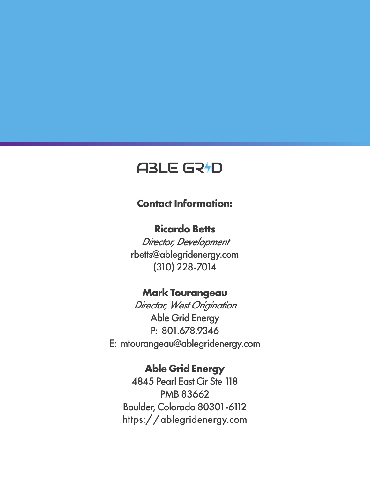### **Contact Information:**

### **Ricardo Betts**

Director, Development rbetts@ablegridenergy.com (310) 228-7014

### **Mark Tourangeau**

Director, West Origination Able Grid Energy P: 801.678.9346 E: mtourangeau@ablegridenergy.com

### **Able Grid Energy**

4845 Pearl East Cir Ste 118 PMB 83662 Boulder, Colorado 80301-6112 https://ablegridenergy.com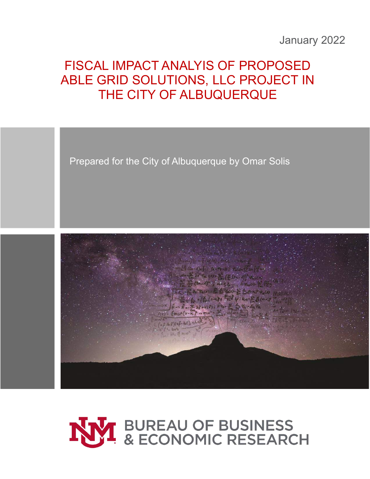### January 2022

## FISCAL IMPACT ANALYIS OF PROPOSED ABLE GRID SOLUTIONS, LLC PROJECT IN THE CITY OF ALBUQUERQUE

Prepared for the City of Albuquerque by Omar Solis



# NVI BUREAU OF BUSINESS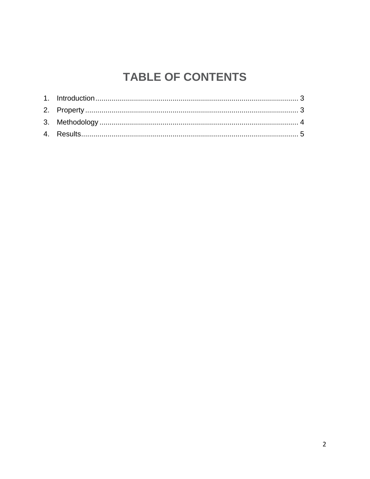# **TABLE OF CONTENTS**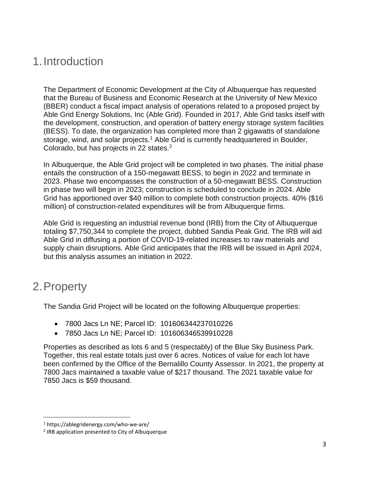### <span id="page-26-0"></span>1.Introduction

The Department of Economic Development at the City of Albuquerque has requested that the Bureau of Business and Economic Research at the University of New Mexico (BBER) conduct a fiscal impact analysis of operations related to a proposed project by Able Grid Energy Solutions, Inc (Able Grid). Founded in 2017, Able Grid tasks itself with the development, construction, and operation of battery energy storage system facilities (BESS). To date, the organization has completed more than 2 gigawatts of standalone storage, wind, and solar projects.<sup>1</sup> Able Grid is currently headquartered in Boulder, Colorado, but has projects in 22 states.<sup>2</sup>

In Albuquerque, the Able Grid project will be completed in two phases. The initial phase entails the construction of a 150-megawatt BESS, to begin in 2022 and terminate in 2023. Phase two encompasses the construction of a 50-megawatt BESS. Construction in phase two will begin in 2023; construction is scheduled to conclude in 2024. Able Grid has apportioned over \$40 million to complete both construction projects. 40% (\$16 million) of construction-related expenditures will be from Albuquerque firms.

Able Grid is requesting an industrial revenue bond (IRB) from the City of Albuquerque totaling \$7,750,344 to complete the project, dubbed Sandia Peak Grid. The IRB will aid Able Grid in diffusing a portion of COVID-19-related increases to raw materials and supply chain disruptions. Able Grid anticipates that the IRB will be issued in April 2024, but this analysis assumes an initiation in 2022.

### <span id="page-26-1"></span>2.Property

The Sandia Grid Project will be located on the following Albuquerque properties:

- 7800 Jacs Ln NE; Parcel ID: 101606344237010226
- 7850 Jacs Ln NE; Parcel ID: 101606346539910228

Properties as described as lots 6 and 5 (respectably) of the Blue Sky Business Park. Together, this real estate totals just over 6 acres. Notices of value for each lot have been confirmed by the Office of the Bernalillo County Assessor. In 2021, the property at 7800 Jacs maintained a taxable value of \$217 thousand. The 2021 taxable value for 7850 Jacs is \$59 thousand.

<sup>1</sup> https://ablegridenergy.com/who-we-are/

<sup>&</sup>lt;sup>2</sup> IRB application presented to City of Albuquerque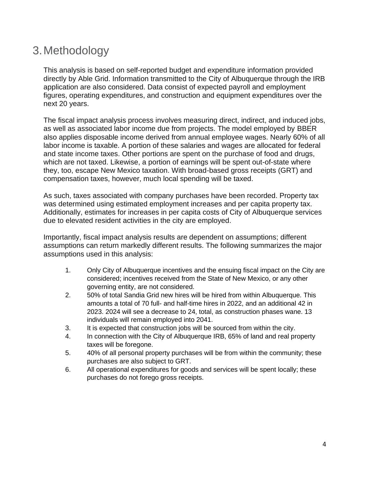### <span id="page-27-0"></span>3.Methodology

This analysis is based on self-reported budget and expenditure information provided directly by Able Grid. Information transmitted to the City of Albuquerque through the IRB application are also considered. Data consist of expected payroll and employment figures, operating expenditures, and construction and equipment expenditures over the next 20 years.

The fiscal impact analysis process involves measuring direct, indirect, and induced jobs, as well as associated labor income due from projects. The model employed by BBER also applies disposable income derived from annual employee wages. Nearly 60% of all labor income is taxable. A portion of these salaries and wages are allocated for federal and state income taxes. Other portions are spent on the purchase of food and drugs, which are not taxed. Likewise, a portion of earnings will be spent out-of-state where they, too, escape New Mexico taxation. With broad-based gross receipts (GRT) and compensation taxes, however, much local spending will be taxed.

As such, taxes associated with company purchases have been recorded. Property tax was determined using estimated employment increases and per capita property tax. Additionally, estimates for increases in per capita costs of City of Albuquerque services due to elevated resident activities in the city are employed.

Importantly, fiscal impact analysis results are dependent on assumptions; different assumptions can return markedly different results. The following summarizes the major assumptions used in this analysis:

- 1. Only City of Albuquerque incentives and the ensuing fiscal impact on the City are considered; incentives received from the State of New Mexico, or any other governing entity, are not considered.
- 2. 50% of total Sandia Grid new hires will be hired from within Albuquerque. This amounts a total of 70 full- and half-time hires in 2022, and an additional 42 in 2023. 2024 will see a decrease to 24, total, as construction phases wane. 13 individuals will remain employed into 2041.
- 3. It is expected that construction jobs will be sourced from within the city.
- 4. In connection with the City of Albuquerque IRB, 65% of land and real property taxes will be foregone.
- 5. 40% of all personal property purchases will be from within the community; these purchases are also subject to GRT.
- 6. All operational expenditures for goods and services will be spent locally; these purchases do not forego gross receipts.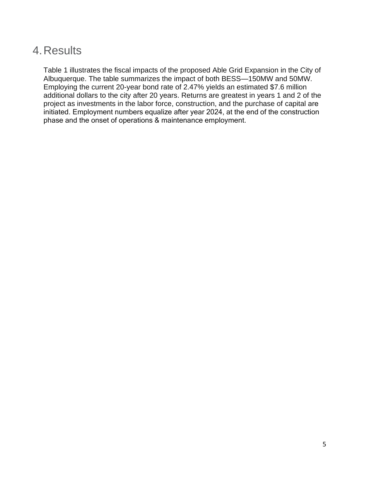### <span id="page-28-0"></span>4.Results

Table 1 illustrates the fiscal impacts of the proposed Able Grid Expansion in the City of Albuquerque. The table summarizes the impact of both BESS—150MW and 50MW. Employing the current 20-year bond rate of 2.47% yields an estimated \$7.6 million additional dollars to the city after 20 years. Returns are greatest in years 1 and 2 of the project as investments in the labor force, construction, and the purchase of capital are initiated. Employment numbers equalize after year 2024, at the end of the construction phase and the onset of operations & maintenance employment.